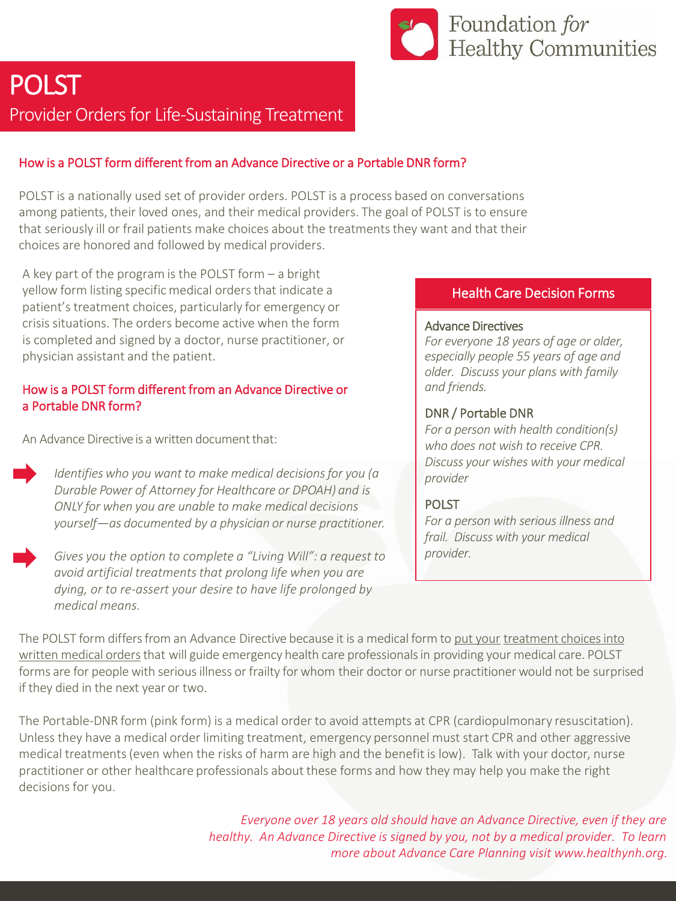

# POLST

Provider Orders for Life-Sustaining Treatment

# How is a POLST form different from an Advance Directive or a Portable DNR form?

POLST is a nationally used set of provider orders. POLST is a process based on conversations among patients, their loved ones, and their medical providers. The goal of POLST is to ensure that seriously ill or frail patients make choices about the treatmentsthey want and that their choices are honored and followed by medical providers.

A key part of the program is the POLST form – a bright yellow form listing specific medical orders that indicate a patient's treatment choices, particularly for emergency or crisis situations. The orders become active when the form is completed and signed by a doctor, nurse practitioner, or physician assistant and the patient.

# How is a POLST form different from an Advance Directive or a Portable DNR form?

An Advance Directive is a written document that:

*Identifieswho you want to make medical decisionsfor you (a Durable Power of Attorney for Healthcare or DPOAH) and is ONLY for when you are unable to make medical decisions yourself—as documented by a physician or nurse practitioner.*

*Gives you the option to complete a "Living Will": a request to avoid artificial treatmentsthat prolong life when you are dying, or to re-assert your desire to have life prolonged by medical means.*

# Health Care Decision Forms

#### Advance Directives

*For everyone 18 years of age or older, especially people 55 years of age and older. Discuss your plans with family and friends.*

# DNR / Portable DNR

*For a person with health condition(s) who does not wish to receive CPR. Discuss your wishes with your medical provider*

#### POLST

*For a person with serious illness and frail. Discuss with your medical provider.*

The POLST form differs from an Advance Directive because it is a medical form to put your treatment choices into written medical orders that will guide emergency health care professionals in providing your medical care. POLST forms are for people with serious illness or frailty for whom their doctor or nurse practitioner would not be surprised if they died in the next year or two.

The Portable-DNR form (pink form) is a medical order to avoid attempts at CPR (cardiopulmonary resuscitation). Unless they have a medical order limiting treatment, emergency personnel must start CPR and other aggressive medical treatments(even when the risks of harm are high and the benefit is low). Talk with your doctor, nurse practitioner or other healthcare professionals about these forms and how they may help you make the right decisions for you.

> *Everyone over 18 years old should have an Advance Directive, even if they are healthy. An Advance Directive is signed by you, not by a medical provider. To learn more about Advance Care Planning visit www.healthynh.org.*